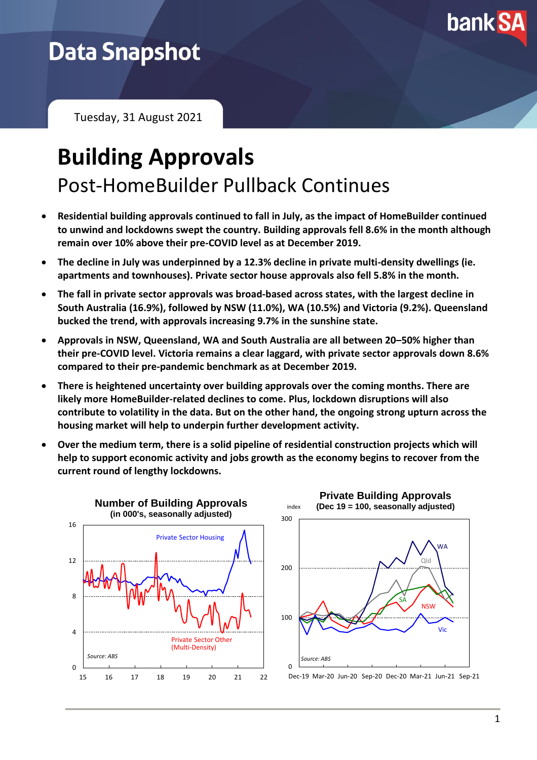

## **Data Snapshot**

Tuesday, 31 August 2021

## **Building Approvals** Post-HomeBuilder Pullback Continues

- **Residential building approvals continued to fall in July, as the impact of HomeBuilder continued to unwind and lockdowns swept the country. Building approvals fell 8.6% in the month although remain over 10% above their pre-COVID level as at December 2019.**
- **The decline in July was underpinned by a 12.3% decline in private multi-density dwellings (ie. apartments and townhouses). Private sector house approvals also fell 5.8% in the month.**
- **The fall in private sector approvals was broad-based across states, with the largest decline in South Australia (16.9%), followed by NSW (11.0%), WA (10.5%) and Victoria (9.2%). Queensland bucked the trend, with approvals increasing 9.7% in the sunshine state.**
- **Approvals in NSW, Queensland, WA and South Australia are all between 20–50% higher than their pre-COVID level. Victoria remains a clear laggard, with private sector approvals down 8.6% compared to their pre-pandemic benchmark as at December 2019.**
- **There is heightened uncertainty over building approvals over the coming months. There are likely more HomeBuilder-related declines to come. Plus, lockdown disruptions will also contribute to volatility in the data. But on the other hand, the ongoing strong upturn across the housing market will help to underpin further development activity.**
- **Over the medium term, there is a solid pipeline of residential construction projects which will help to support economic activity and jobs growth as the economy begins to recover from the current round of lengthy lockdowns.**





Dec-19 Mar-20 Jun-20 Sep-20 Dec-20 Mar-21 Jun-21 Sep-21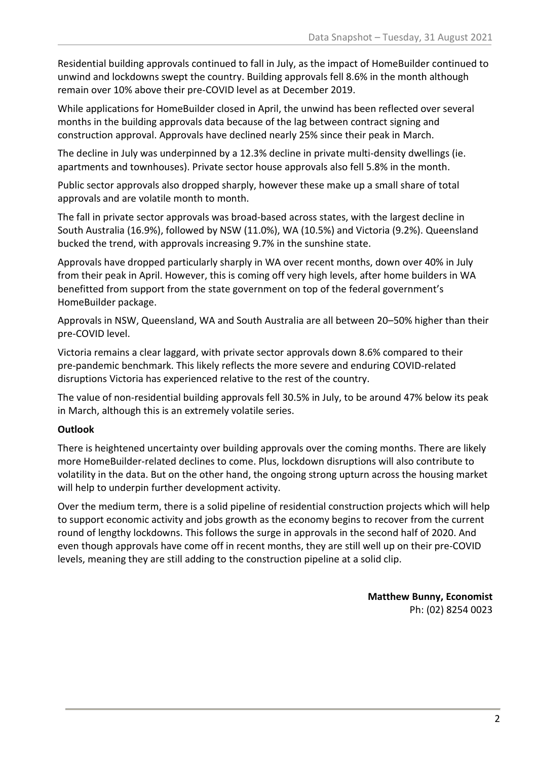Residential building approvals continued to fall in July, as the impact of HomeBuilder continued to unwind and lockdowns swept the country. Building approvals fell 8.6% in the month although remain over 10% above their pre-COVID level as at December 2019.

While applications for HomeBuilder closed in April, the unwind has been reflected over several months in the building approvals data because of the lag between contract signing and construction approval. Approvals have declined nearly 25% since their peak in March.

The decline in July was underpinned by a 12.3% decline in private multi-density dwellings (ie. apartments and townhouses). Private sector house approvals also fell 5.8% in the month.

Public sector approvals also dropped sharply, however these make up a small share of total approvals and are volatile month to month.

The fall in private sector approvals was broad-based across states, with the largest decline in South Australia (16.9%), followed by NSW (11.0%), WA (10.5%) and Victoria (9.2%). Queensland bucked the trend, with approvals increasing 9.7% in the sunshine state.

Approvals have dropped particularly sharply in WA over recent months, down over 40% in July from their peak in April. However, this is coming off very high levels, after home builders in WA benefitted from support from the state government on top of the federal government's HomeBuilder package.

Approvals in NSW, Queensland, WA and South Australia are all between 20–50% higher than their pre-COVID level.

Victoria remains a clear laggard, with private sector approvals down 8.6% compared to their pre-pandemic benchmark. This likely reflects the more severe and enduring COVID-related disruptions Victoria has experienced relative to the rest of the country.

The value of non-residential building approvals fell 30.5% in July, to be around 47% below its peak in March, although this is an extremely volatile series.

## **Outlook**

There is heightened uncertainty over building approvals over the coming months. There are likely more HomeBuilder-related declines to come. Plus, lockdown disruptions will also contribute to volatility in the data. But on the other hand, the ongoing strong upturn across the housing market will help to underpin further development activity.

Over the medium term, there is a solid pipeline of residential construction projects which will help to support economic activity and jobs growth as the economy begins to recover from the current round of lengthy lockdowns. This follows the surge in approvals in the second half of 2020. And even though approvals have come off in recent months, they are still well up on their pre-COVID levels, meaning they are still adding to the construction pipeline at a solid clip.

> **Matthew Bunny, Economist** Ph: (02) 8254 0023